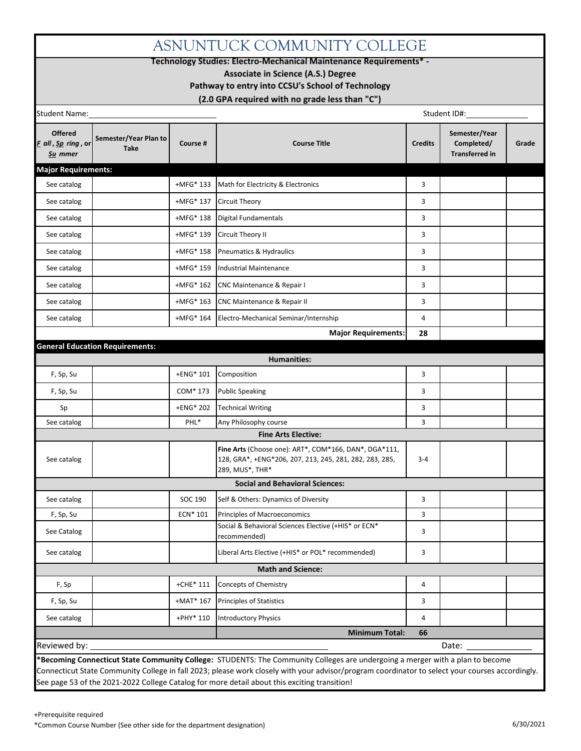## ASNUNTUCK COMMUNITY COLLEGE

**Technology Studies: Electro-Mechanical Maintenance Requirements\* -**

**Associate in Science (A.S.) Degree**

**Pathway to entry into CCSU's School of Technology**

**(2.0 GPA required with no grade less than "C")**

| Student Name:                                                                                       |                                                         |                                                                            |                | Student ID#:                                         |       |
|-----------------------------------------------------------------------------------------------------|---------------------------------------------------------|----------------------------------------------------------------------------|----------------|------------------------------------------------------|-------|
| <b>Offered</b><br>Semester/Year Plan to<br>F all, Sp ring, or<br>Course #<br><b>Take</b><br>Su mmer |                                                         | <b>Course Title</b>                                                        |                | Semester/Year<br>Completed/<br><b>Transferred in</b> | Grade |
| <b>Major Requirements:</b>                                                                          |                                                         |                                                                            |                |                                                      |       |
| See catalog                                                                                         | +MFG* 133                                               | Math for Electricity & Electronics<br>3                                    |                |                                                      |       |
| See catalog                                                                                         | +MFG* 137                                               | 3<br>Circuit Theory                                                        |                |                                                      |       |
| See catalog                                                                                         | +MFG* 138                                               | Digital Fundamentals                                                       | 3              |                                                      |       |
| See catalog                                                                                         | +MFG* 139                                               | Circuit Theory II                                                          | 3              |                                                      |       |
| See catalog                                                                                         | +MFG* 158                                               | Pneumatics & Hydraulics                                                    | 3              |                                                      |       |
| See catalog                                                                                         | +MFG* 159                                               | <b>Industrial Maintenance</b>                                              | 3              |                                                      |       |
| See catalog                                                                                         | +MFG* 162                                               | CNC Maintenance & Repair I                                                 | 3              |                                                      |       |
| See catalog                                                                                         | +MFG* 163                                               | <b>CNC Maintenance &amp; Repair II</b>                                     |                |                                                      |       |
| See catalog                                                                                         | 4<br>+MFG* 164<br>Electro-Mechanical Seminar/Internship |                                                                            |                |                                                      |       |
|                                                                                                     |                                                         | <b>Major Requirements:</b>                                                 | 28             |                                                      |       |
| <b>General Education Requirements:</b>                                                              |                                                         |                                                                            |                |                                                      |       |
|                                                                                                     |                                                         | <b>Humanities:</b>                                                         |                |                                                      |       |
| F, Sp, Su                                                                                           | +ENG* 101                                               | Composition                                                                | 3              |                                                      |       |
| F, Sp, Su                                                                                           | COM* 173                                                | <b>Public Speaking</b>                                                     | 3              |                                                      |       |
| Sp                                                                                                  | +ENG* 202                                               | <b>Technical Writing</b>                                                   | 3              |                                                      |       |
| See catalog                                                                                         | PHL*                                                    | Any Philosophy course<br><b>Fine Arts Elective:</b>                        | 3              |                                                      |       |
|                                                                                                     |                                                         | Fine Arts (Choose one): ART*, COM*166, DAN*, DGA*111,                      |                |                                                      |       |
| See catalog                                                                                         |                                                         | 128, GRA*, +ENG*206, 207, 213, 245, 281, 282, 283, 285,<br>289, MUS*, THR* | $3 - 4$        |                                                      |       |
|                                                                                                     |                                                         | <b>Social and Behavioral Sciences:</b>                                     |                |                                                      |       |
| See catalog                                                                                         | SOC 190                                                 | Self & Others: Dynamics of Diversity                                       | 3              |                                                      |       |
| F, Sp, Su                                                                                           | ECN* 101                                                | Principles of Macroeconomics                                               | 3              |                                                      |       |
| See Catalog                                                                                         |                                                         | Social & Behavioral Sciences Elective (+HIS* or ECN*<br>recommended)       | 3              |                                                      |       |
| See catalog                                                                                         |                                                         | Liberal Arts Elective (+HIS* or POL* recommended)                          | 3              |                                                      |       |
|                                                                                                     |                                                         | <b>Math and Science:</b>                                                   |                |                                                      |       |
| F, Sp                                                                                               | $+$ CHE $*$ 111                                         | Concepts of Chemistry<br>$\overline{a}$                                    |                |                                                      |       |
| F, Sp, Su                                                                                           | $+$ MAT $*$ 167                                         | <b>Principles of Statistics</b>                                            | 3              |                                                      |       |
|                                                                                                     | +PHY* 110                                               | <b>Introductory Physics</b>                                                | $\overline{4}$ |                                                      |       |
| See catalog                                                                                         |                                                         |                                                                            |                |                                                      |       |

Connecticut State Community College in fall 2023; please work closely with your advisor/program coordinator to select your courses accordingly. See page 53 of the 2021-2022 College Catalog for more detail about this exciting transition!